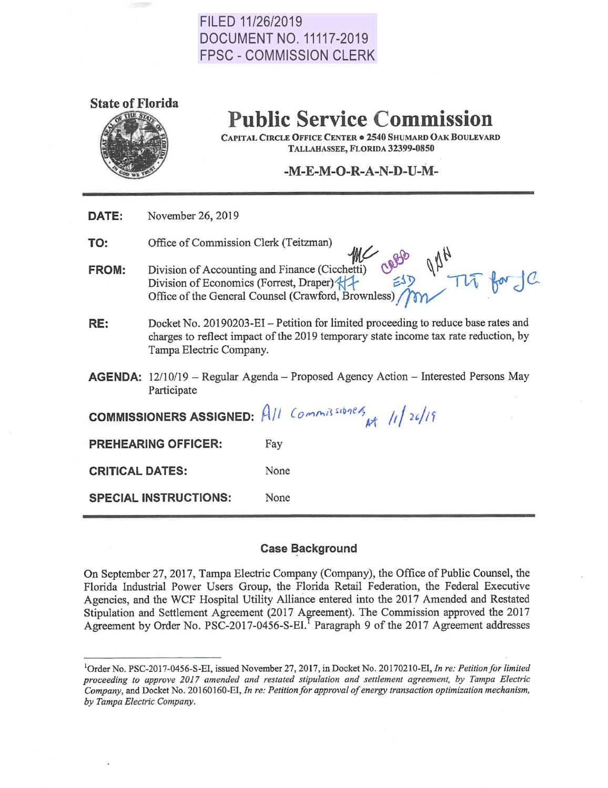# FILED 11/26/2019 DOCUMENT NO. 11117-2019 FPSC - COMMISSION CLERK



# **Public Service Commission**

**CAPITAL CIRCLE OFFICE CENTER** • **2540 SHUMARD OAK BOULEY ARD TALLAHASSEE, FLORIDA 32399-0850** 

## **-M-E-M-O-R-A-N-D-U-M-**

| November 26, 2019<br>DATE: |  |
|----------------------------|--|
|----------------------------|--|

**TO:**  Office of Commission Clerk (Teitzman)

**FROM:**  Division of Accounting and Finance (Cicchetti) Division of Economics (Forrest, Draper)<sup>2</sup> Office of the General Counsel (Crawford, Brownless)

- **RE:**  Docket No. 20190203-EI - Petition for limited proceeding to reduce base rates and charges to reflect impact of the 2019 temporary state income tax rate reduction, by Tampa Electric Company.
- **AGENDA:** 12/10/19 Regular Agenda Proposed Agency Action Interested Persons May Participate

| COMMISSIONERS ASSIGNED: $AII$ Commissiones $M/I/24/19$ |      |  |
|--------------------------------------------------------|------|--|
| <b>PREHEARING OFFICER:</b>                             | Fay  |  |
| <b>CRITICAL DATES:</b>                                 | None |  |
| <b>SPECIAL INSTRUCTIONS:</b>                           | None |  |

### **Case Background**

On September 27, 2017, Tampa Electric Company (Company), the Office of Public Counsel, the Florida Industrial Power Users Group, the Florida Retail Federation, the Federal Executive Agencies, and the WCF Hospital Utility Alliance entered into the 2017 Amended and Restated Stipulation and Settlement Agreement (2017 Agreement). The Commission approved the 2017 Agreement by Order No. PSC-2017-0456-S-EI.<sup>I</sup> Paragraph 9 of the 2017 Agreement addresses

<sup>1</sup>Order No. PSC-2017-0456-S-EI, issued November 27, 2017, in Docket No. 20170210-EI, *In re: Petition for limited proceeding to approve 2017 amended and restated stipulation and settlement agreement, by Tampa Electric Company,* and Docket No. 20160160-EI, *In re: Petition for approval of energy transaction optimization mechanism, by Tampa Electric Company.*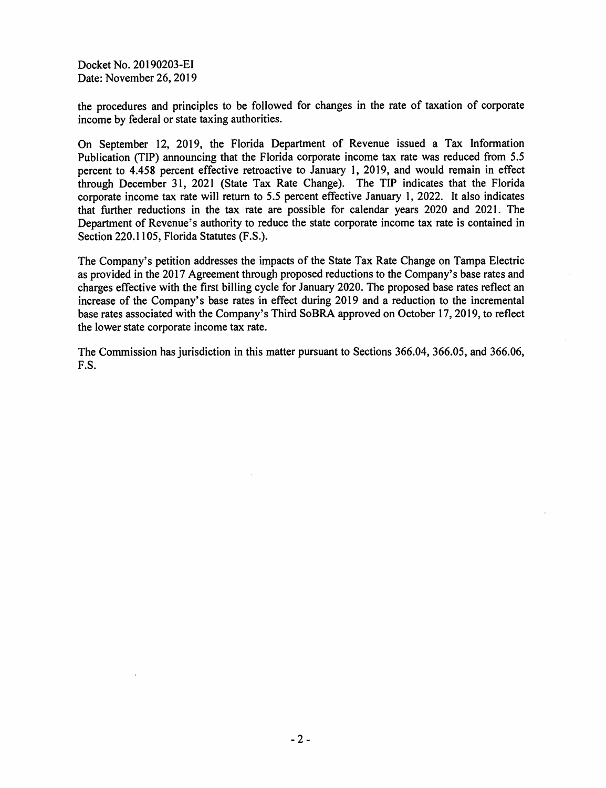Docket No. 20190203-EI Date: November 26, 2019

the procedures and principles to be followed for changes in the rate of taxation of corporate income by federal or state taxing authorities.

On September 12, 2019, the Florida Department of Revenue issued a Tax Information Publication (TIP) announcing that the Florida corporate income tax rate was reduced from 5.5 percent to 4.458 percent effective retroactive to January l, 2019, and would remain in effect through December 31, 2021 (State Tax Rate Change). The TIP indicates that the Florida corporate income tax rate will return to 5.5 percent effective January 1, 2022. It also indicates that further reductions in the tax rate are possible for calendar years 2020 and 2021. The Department of Revenue's authority to reduce the state corporate income tax rate is contained in Section 220.1105, Florida Statutes (F.S.).

The Company's petition addresses the impacts of the State Tax Rate Change on Tampa Electric as provided in the 2017 Agreement through proposed reductions to the Company's base rates and charges effective with the first billing cycle for January 2020. The proposed base rates reflect an increase of the Company's base rates in effect during 2019 and a reduction to the incremental base rates associated with the Company's Third So BRA approved on October 17, 2019, to reflect the lower state corporate income tax rate.

The Commission has jurisdiction in this matter pursuant to Sections 366.04, 366.05, and 366.06, F.S.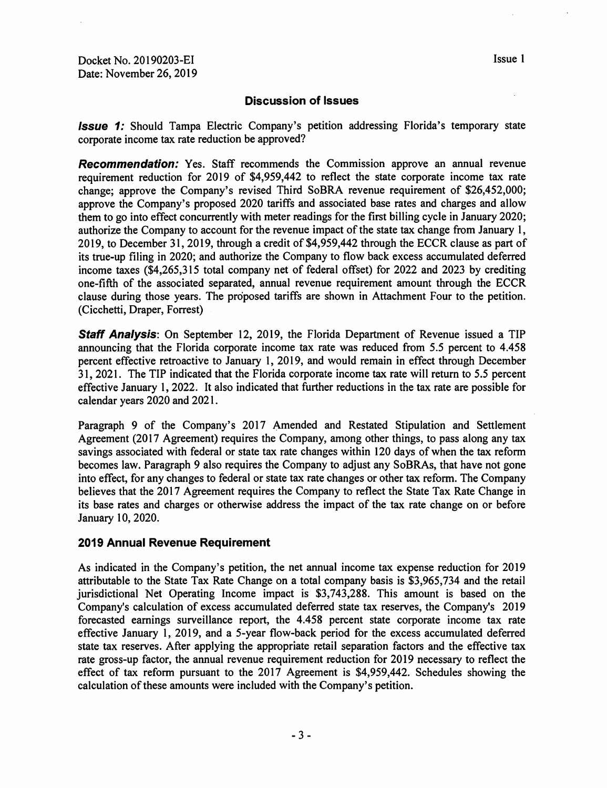#### **Discussion of Issues**

**Issue 1:** Should Tampa Electric Company's petition addressing Florida's temporary state corporate income tax rate reduction be approved?

**Recommendation:** Yes. Staff recommends the Commission approve an annual revenue requirement reduction for 2019 of \$4,959,442 to reflect the state corporate income tax rate change; approve the Company's revised Third SoBRA revenue requirement of \$26,452,000; approve the Company's proposed 2020 tariffs and associated base rates and charges and allow them to go into effect concurrently with meter readings for the first billing cycle in January 2020; authorize the Company to account for the revenue impact of the state tax change from January 1, 2019, to December 31, 2019, through a credit of \$4,959,442 through the ECCR clause as part of its true-up filing in 2020; and authorize the Company to flow back excess accumulated deferred income taxes (\$4,265,315 total company net of federal offset) for 2022 and 2023 by crediting one-fifth of the associated separated, annual revenue requirement amount through the ECCR clause during those years. The proposed tariffs are shown in Attachment Four to the petition. (Cicchetti, Draper, Forrest)

**Staff Analysis:** On September 12, 2019, the Florida Department of Revenue issued a TIP announcing that the Florida corporate income tax rate was reduced from *5.5* percent to 4.458 percent effective retroactive to January 1, 2019, and would remain in effect through December 31, 2021. The TIP indicated that the Florida corporate income tax rate will return to *5.5* percent effective January l, 2022. It also indicated that further reductions in the tax rate are possible for calendar years 2020 and 2021.

Paragraph 9 of the Company's 2017 Amended and Restated Stipulation and Settlement Agreement (2017 Agreement) requires the Company, among other things, to pass along any tax savings associated with federal or state tax rate changes within 120 days of when the tax reform becomes law. Paragraph 9 also requires the Company to adjust any SoBRAs, that have not gone into effect, for any changes to federal or state tax rate changes or other tax reform. The Company believes that the 2017 Agreement requires the Company to reflect the State Tax Rate Change in its base rates and charges or otherwise address the impact of the tax rate change on or before January 10, 2020.

#### **2019 Annual Revenue Requirement**

As indicated in the Company's petition, the net annual income tax expense reduction for 2019 attributable to the State Tax Rate Change on a total company basis is \$3,965,734 and the retail jurisdictional Net Operating Income impact is \$3,743,288. This amount is based on the Company's calculation of excess accumulated deferred state tax reserves, the Company's 2019 forecasted earnings surveillance report, the 4.458 percent state corporate income tax rate effective January 1, 2019, and a 5-year flow-back period for the excess accumulated deferred state tax reserves. After applying the appropriate retail separation factors and the effective tax rate gross-up factor, the annual revenue requirement reduction for 2019 necessary to reflect the effect of tax reform pursuant to the 2017 Agreement is \$4,959,442. Schedules showing the calculation of these amounts were included with the Company's petition.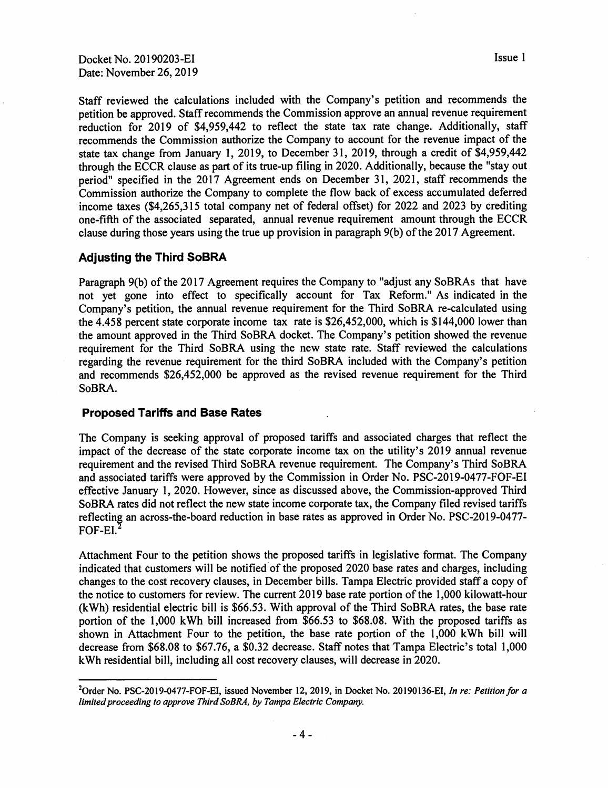Docket No. 20190203-EI Date: November 26, 2019

Staff reviewed the calculations included with the Company's petition and recommends the petition be approved. Staff recommends the Commission approve an annual revenue requirement reduction for 2019 of \$4,959,442 to reflect the state tax rate change. Additionally, staff recommends the Commission authorize the Company to account for the revenue impact of the state tax change from January I, 2019, to December 31, 2019, through a credit of \$4,959,442 through the ECCR clause as part of its true-up filing in 2020. Additionally, because the "stay out period" specified in the 2017 Agreement ends on December 31, 2021, staff recommends the Commission authorize the Company to complete the flow back of excess accumulated deferred income taxes (\$4,265,315 total company net of federal offset) for 2022 and 2023 by crediting one-fifth of the associated separated, annual revenue requirement amount through the ECCR clause during those years using the true up provision in paragraph 9(b) of the 2017 Agreement.

#### **Adjusting the Third SoBRA**

Paragraph 9(b) of the 2017 Agreement requires the Company to "adjust any SoBRAs that have not yet gone into effect to specifically account for Tax Reform." As indicated in the Company's petition, the annual revenue requirement for the Third SoBRA re-calculated using the 4.458 percent state corporate income tax rate is \$26,452,000, which is \$144,000 lower than the amount approved in the Third SoBRA docket. The Company's petition showed the revenue requirement for the Third SoBRA using the new state rate. Staff reviewed the calculations regarding the revenue requirement for the third SoBRA included with the Company's petition and recommends \$26,452,000 be approved as the revised revenue requirement for the Third SoBRA.

#### **Proposed Tariffs and Base Rates**

The Company is seeking approval of proposed tariffs and associated charges that reflect the impact of the decrease of the state corporate income tax on the utility's 2019 annual revenue requirement and the revised Third SoBRA revenue requirement. The Company's Third SoBRA and associated tariffs were approved by the Commission in Order No. PSC-2019-0477-FOF-El effective January 1, 2020. However, since as discussed above, the Commission-approved Third SoBRA rates did not reflect the new state income corporate tax, the Company filed revised tariffs reflecting an across-the-board reduction in base rates as approved in Order No. PSC-2019-0477-FOF-EI.

Attachment Four to the petition shows the proposed tariffs in legislative format. The Company indicated that customers will be notified of the proposed 2020 base rates and charges, including changes to the cost recovery clauses, in December bills. Tampa Electric provided staff a copy of the notice to customers for review. The current 2019 base rate portion of the 1,000 kilowatt-hour (kWh) residential electric bill is \$66.53. With approval of the Third SoBRA rates, the base rate portion of the 1,000 kWh bill increased from \$66.53 to \$68.08. With the proposed tariffs as shown in Attachment Four to the petition, the base rate portion of the 1,000 kWh bill will decrease from \$68.08 to \$67.76, a \$0.32 decrease. Staff notes that Tampa Electric's total 1,000 kWh residential bill, including all cost recovery clauses, will decrease in 2020.

<sup>2</sup> Order No. PSC-2019-0477-FOF-EI, issued November 12, 2019, in Docket No. 20190136-EI, *In re: Petition for <sup>a</sup> limited proceeding to approve Third SoBRA, by Tampa Electric Company.*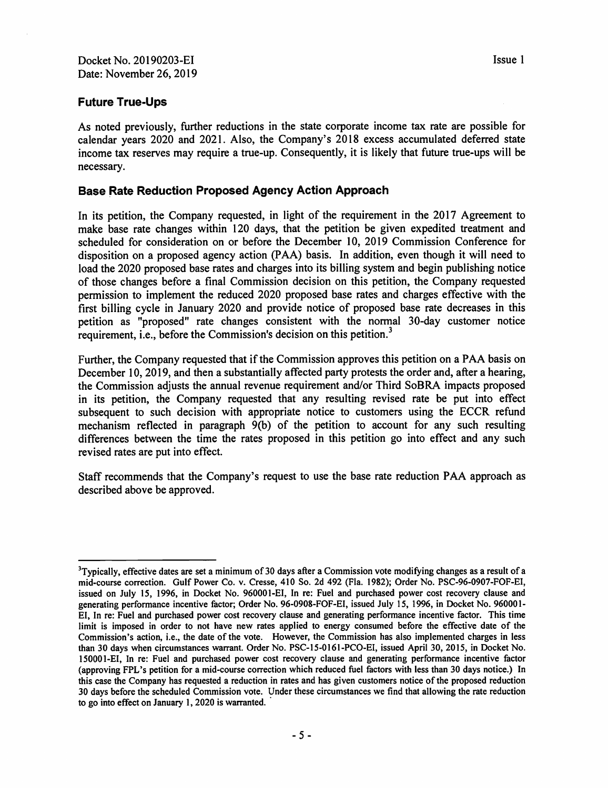#### **Future True-Ups**

As noted previously, further reductions in the state corporate income tax rate are possible for calendar years 2020 and 2021. Also, the Company's 2018 excess accumulated deferred state income tax reserves may require a true-up. Consequently, it is likely that future true-ups will be necessary.

#### **Base Rate Reduction Proposed Agency Action Approach**

In its petition, the Company requested, in light of the requirement in the 2017 Agreement to make base rate changes within 120 days, that the petition be given expedited treatment and scheduled for consideration on or before the December 10, 2019 Commission Conference for disposition on a proposed agency action (PAA) basis. In addition, even though it will need to load the 2020 proposed base rates and charges into its billing system and begin publishing notice of those changes before a final Commission decision on this petition, the Company requested permission to implement the reduced 2020 proposed base rates and charges effective with the first billing cycle in January 2020 and provide notice of proposed base rate decreases in this petition as "proposed" rate changes consistent with the normal 30-day customer notice requirement, i.e., before the Commission's decision on this petition.<sup>3</sup>

Further, the Company requested that if the Commission approves this petition on a PAA basis on December 10, 2019, and then a substantially affected party protests the order and, after a hearing, the Commission adjusts the annual revenue requirement and/or Third SoBRA impacts proposed in its petition, the Company requested that any resulting revised rate be put into effect subsequent to such decision with appropriate notice to customers using the ECCR refund mechanism reflected in paragraph 9(b) of the petition to account for any such resulting differences between the time the rates proposed in this petition go into effect and any such revised rates are put into effect.

Staff recommends that the Company's request to use the base rate reduction PAA approach as described above be approved.

<sup>&</sup>lt;sup>3</sup>Typically, effective dates are set a minimum of 30 days after a Commission vote modifying changes as a result of a mid-course correction. Gulf Power Co. v. Cresse, 410 So. 2d 492 (Fla. 1982); Order No. PSC-96-0907-FOF-EI, issued on July 15, 1996, in Docket No. 960001-EI, In re: Fuel and purchased power cost recovery clause and generating performance incentive factor; Order No. 96-0908-FOF-EI, issued July 15, 1996, in Docket No. 960001- EI, In re: Fuel and purchased power cost recovery clause and generating performance incentive factor. This time limit is imposed in order to not have new rates applied to energy consumed before the effective date of the Commission's action, i.e., the date of the vote. However, the Commission has also implemented charges in less than 30 days when circumstances warrant. Order No. PSC-15-0161-PCO-EI, issued April 30, 2015, in Docket No. 150001-EI, In re: Fuel and purchased power cost recovery clause and generating performance incentive factor (approving FPL's petition for a mid-course correction which reduced fuel factors with less than 30 days notice.) In this case the Company has requested a reduction in rates and has given customers notice of the proposed reduction 30 days before the scheduled Commission vote. Under these circumstances we find that allowing the rate reduction to go into effect on January 1, 2020 is warranted.